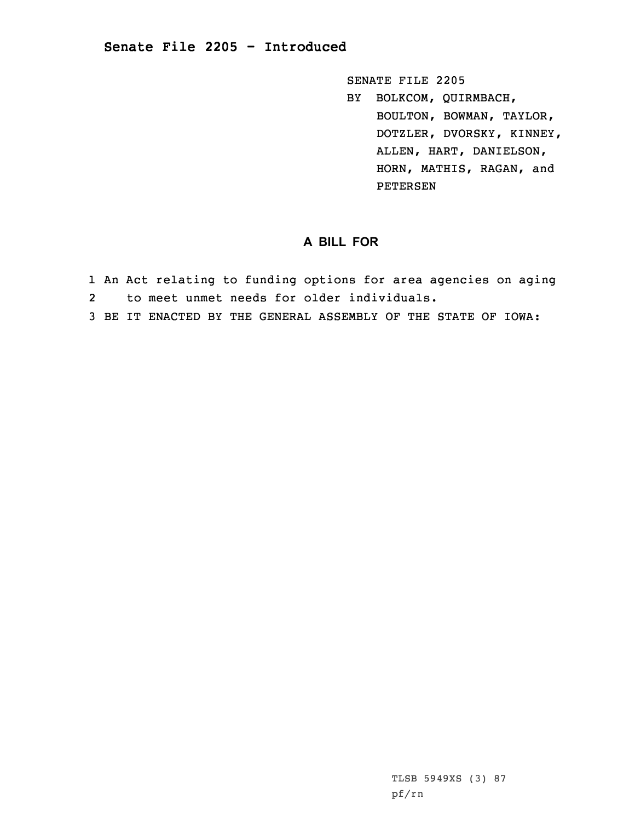## **Senate File 2205 - Introduced**

SENATE FILE 2205 BY BOLKCOM, QUIRMBACH, BOULTON, BOWMAN, TAYLOR, DOTZLER, DVORSKY, KINNEY, ALLEN, HART, DANIELSON, HORN, MATHIS, RAGAN, and PETERSEN

## **A BILL FOR**

- 1 An Act relating to funding options for area agencies on aging
- 2to meet unmet needs for older individuals.
- 3 BE IT ENACTED BY THE GENERAL ASSEMBLY OF THE STATE OF IOWA: